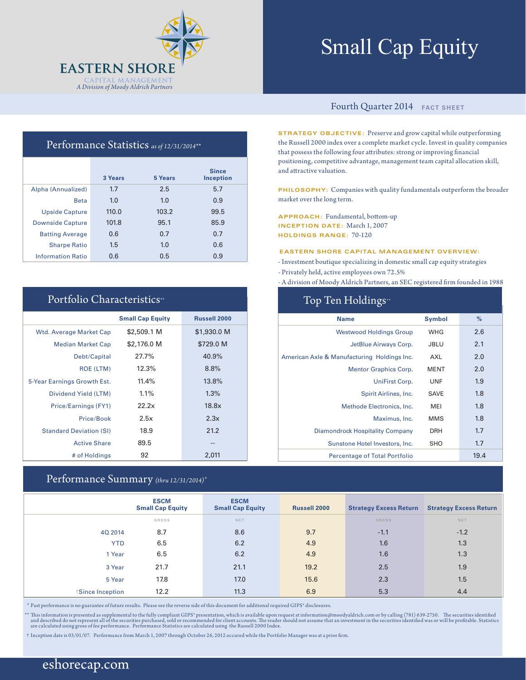

# Small Cap Equity

### Fourth Quarter 2014 **FACT SHEET**

**STRATEGY OBJECTIVE:** Preserve and grow capital while outperforming the Russell 2000 index over a complete market cycle. Invest in quality companies that possess the following four attributes: strong or improving financial positioning, competitive advantage, management team capital allocation skill, and attractive valuation.

**PHILOSOPHY:** Companies with quality fundamentals outperform the broader market over the long term.

**APPROACH:** Fundamental, bottom-up **INCEPTION DATE:** March 1, 2007 **HOLDINGS RANGE:** 70-120

#### **EASTERN SHORE CAPITAL MANAGEMENT OVERVIEW:**

- Investment boutique specializing in domestic small cap equity strategies
- Privately held, active employees own 72.5%

Top Ten Holdings\*

- A division of Moody Aldrich Partners, an SEC registered firm founded in 1988

| 10p 10m 110mmg                              |               |      |
|---------------------------------------------|---------------|------|
| <b>Name</b>                                 | <b>Symbol</b> | $\%$ |
| <b>Westwood Holdings Group</b>              | <b>WHG</b>    | 2.6  |
| JetBlue Airways Corp.                       | <b>JBLU</b>   | 2.1  |
| American Axle & Manufacturing Holdings Inc. | AXL           | 2.0  |
| <b>Mentor Graphics Corp.</b>                | <b>MENT</b>   | 2.0  |
| UniFirst Corp.                              | <b>UNF</b>    | 1.9  |
| Spirit Airlines, Inc.                       | <b>SAVE</b>   | 1.8  |
| Methode Electronics, Inc.                   | MEI           | 1.8  |
| Maximus, Inc.                               | <b>MMS</b>    | 1.8  |
| <b>Diamondrock Hospitality Company</b>      | <b>DRH</b>    | 1.7  |
| Sunstone Hotel Investors, Inc.              | SHO           | 1.7  |
| <b>Percentage of Total Portfolio</b>        |               | 19.4 |

### Performance Statistics *as of 12/31/2014\*\**

|                          | 3 Years | 5 Years | <b>Since</b><br>Inception |
|--------------------------|---------|---------|---------------------------|
| Alpha (Annualized)       | 1.7     | 2.5     | 5.7                       |
| <b>Beta</b>              | 1.0     | 1.0     | 0.9                       |
| <b>Upside Capture</b>    | 110.0   | 103.2   | 99.5                      |
| <b>Downside Capture</b>  | 101.8   | 95.1    | 85.9                      |
| <b>Batting Average</b>   | 0.6     | 0.7     | 0.7                       |
| <b>Sharpe Ratio</b>      | 1.5     | 1.0     | 0.6                       |
| <b>Information Ratio</b> | 0.6     | 0.5     | 0.9                       |

## Portfolio Characteristics\*\*

|                                | <b>Small Cap Equity</b> | <b>Russell 2000</b> |
|--------------------------------|-------------------------|---------------------|
| <b>Wtd. Average Market Cap</b> | \$2,509.1 M             | \$1,930.0 M         |
| <b>Median Market Cap</b>       | \$2,176.0 M             | \$729.0 M           |
| Debt/Capital                   | 27.7%                   | 40.9%               |
| <b>ROE (LTM)</b>               | 12.3%                   | 8.8%                |
| 5-Year Earnings Growth Est.    | 11.4%                   | 13.8%               |
| Dividend Yield (LTM)           | 1.1%                    | 1.3%                |
| Price/Earnings (FY1)           | 22.2x                   | 18.8x               |
| Price/Book                     | 2.5x                    | 2.3x                |
| <b>Standard Deviation (SI)</b> | 18.9                    | 21.2                |
| <b>Active Share</b>            | 89.5                    | --                  |
| # of Holdings                  | 92                      | 2,011               |

### Performance Summary *(thru 12/31/2014)\**

|                 | <b>ESCM</b><br><b>Small Cap Equity</b> | <b>ESCM</b><br><b>Small Cap Equity</b> | <b>Russell 2000</b> | <b>Strategy Excess Return</b> | <b>Strategy Excess Return</b> |
|-----------------|----------------------------------------|----------------------------------------|---------------------|-------------------------------|-------------------------------|
|                 | GROSS                                  | NET                                    |                     | <b>GROSS</b>                  | NET                           |
| 4Q 2014         | 8.7                                    | 8.6                                    | 9.7                 | $-1.1$                        | $-1.2$                        |
| <b>YTD</b>      | 6.5                                    | 6.2                                    | 4.9                 | 1.6                           | 1.3                           |
| 1 Year          | 6.5                                    | 6.2                                    | 4.9                 | 1.6                           | 1.3                           |
| 3 Year          | 21.7                                   | 21.1                                   | 19.2                | 2.5                           | 1.9                           |
| 5 Year          | 17.8                                   | 17.0                                   | 15.6                | 2.3                           | 1.5                           |
| Since Inception | 12.2                                   | 11.3                                   | 6.9                 | 5.3                           | 4.4                           |

\* Past performance is no guarantee of future results. Please see the reverse side of this document for additional required GIPS® disclosures.

\*\* This information is presented as supplemental to the fully compliant GIPS\* presentation, which is available upon request at information@moodyaldrich.com or by calling (781) 639-2750. The securities identified and descri

† Inception date is 03/01/07. Performance from March 1, 2007 through October 26, 2012 occured while the Portfolio Manager was at a prior firm.